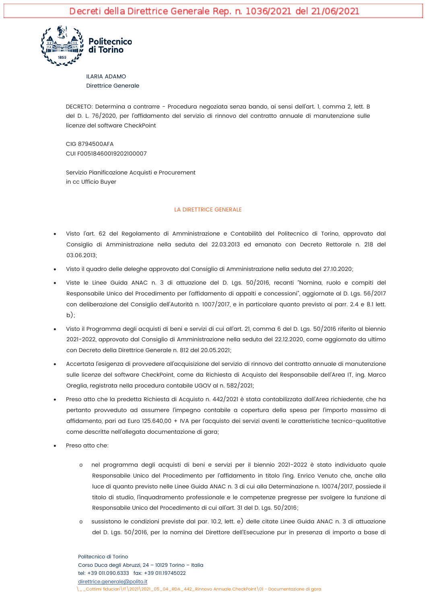

**ILARIA ADAMO Direttrice Generale** 

DECRETO: Determina a contrarre - Procedura negoziata senza bando, ai sensi dell'art. I, comma 2, lett. B del D. L. 76/2020, per l'affidamento del servizio di rinnovo del contratto annuale di manutenzione sulle licenze del software CheckPoint

CIG 8794500AFA CUI F00518460019202100007

Servizio Pianificazione Acquisti e Procurement in cc Ufficio Buver

#### LA DIRETTRICE GENERALE

- Visto l'art. 62 del Regolamento di Amministrazione e Contabilità del Politecnico di Torino, approvato dal Consiglio di Amministrazione nella seduta del 22.03.2013 ed emanato con Decreto Rettorale n. 218 del 03.06.2013;
- Visto il quadro delle deleghe approvato dal Consiglio di Amministrazione nella seduta del 27.10.2020;
- Viste le Linee Guida ANAC n. 3 di attuazione del D. Lgs. 50/2016, recanti "Nomina, ruolo e compiti del Responsabile Unico del Procedimento per l'affidamento di appalti e concessioni", aggiornate al D. Lgs. 56/2017 con deliberazione del Consiglio dell'Autorità n. 1007/2017, e in particolare quanto previsto ai parr. 2.4 e 8.1 lett.  $b)$ :
- Visto il Programma degli acquisti di beni e servizi di cui all'art. 21, comma 6 del D. Lgs. 50/2016 riferito al biennio 2021-2022, approvato dal Consiglio di Amministrazione nella seduta del 22.12.2020, come aggiornato da ultimo con Decreto della Direttrice Generale n. 812 del 20.05.2021<sup>.</sup>
- Accertata l'esigenza di provvedere all'acquisizione del servizio di rinnovo del contratto annuale di manutenzione sulle licenze del software CheckPoint, come da Richiesta di Acquisto del Responsabile dell'Area IT, ing. Marco Oreglia, registrata nella procedura contabile UGOV al n. 582/2021;
- Preso atto che la predetta Richiesta di Acquisto n. 442/2021 è stata contabilizzata dall'Area richiedente, che ha pertanto provveduto ad assumere l'impegno contabile a copertura della spesa per l'importo massimo di affidamento, pari ad Euro 125.640,00 + IVA per l'acquisto dei servizi aventi le caratteristiche tecnico-qualitative come descritte nell'allegata documentazione di gara;
- Preso atto che:
	- nel programma degli acquisti di beni e servizi per il biennio 2021-2022 è stato individuato quale  $\circ$ Responsabile Unico del Procedimento per l'affidamento in titolo l'ing. Enrico Venuto che, anche alla luce di quanto previsto nelle Linee Guida ANAC n. 3 di cui alla Determinazione n. 10074/2017, possiede il titolo di studio, l'inquadramento professionale e le competenze pregresse per svolgere la funzione di Responsabile Unico del Procedimento di cui all'art. 31 del D. Las. 50/2016;
	- sussistono le condizioni previste dal par. 10.2, lett. e) delle citate Linee Guida ANAC n. 3 di attuazione  $\circ$ del D. Lgs. 50/2016, per la nomina del Direttore dell'Esecuzione pur in presenza di importo a base di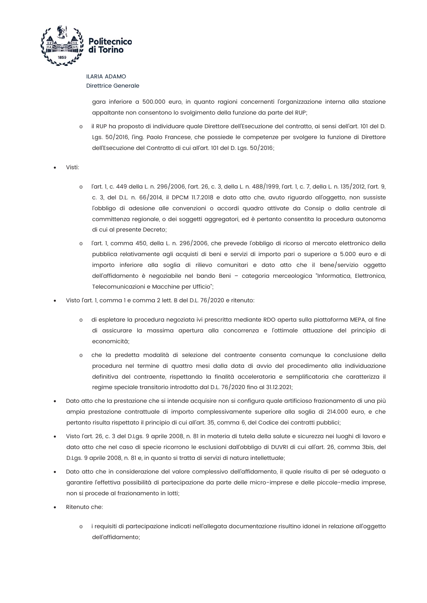

# **ILARIA ADAMO**

**Direttrice Generale** 

gara inferiore a 500.000 euro, in quanto ragioni concernenti l'organizzazione interna alla stazione appaltante non consentono lo svolgimento della funzione da parte del RUP;

- il RUP ha proposto di individuare quale Direttore dell'Esecuzione del contratto, ai sensi dell'art. 101 del D. Lgs. 50/2016, l'ing. Paolo Francese, che possiede le competenze per svolgere la funzione di Direttore dell'Esecuzione del Contratto di cui all'art. 101 del D. Lgs. 50/2016;
- Visti:
	- o l'art. 1, c. 449 della L. n. 296/2006, l'art. 26, c. 3, della L. n. 488/1999, l'art. 1, c. 7, della L. n. 135/2012, l'art. 9, c. 3, del D.L. n. 66/2014, il DPCM 11.7.2018 e dato atto che, avuto riguardo all'oggetto, non sussiste l'obbligo di adesione alle convenzioni o accordi quadro attivate da Consip o dalla centrale di committenza regionale, o dei soggetti aggregatori, ed è pertanto consentita la procedura autonoma di cui al presente Decreto;
	- l'art. I, comma 450, della L. n. 296/2006, che prevede l'obbligo di ricorso al mercato elettronico della  $\sim$ pubblica relativamente agli acquisti di beni e servizi di importo pari o superiore a 5.000 euro e di importo inferiore alla soglia di rilievo comunitari e dato atto che il bene/servizio oggetto dell'affidamento è negoziabile nel bando Beni - categoria merceologica "Informatica, Elettronica, Telecomunicazioni e Macchine per Ufficio":
- Visto l'art. 1, comma 1 e comma 2 lett. B del D.L. 76/2020 e ritenuto:
	- di espletare la procedura negoziata ivi prescritta mediante RDO aperta sulla piattaforma MEPA, al fine di assicurare la massima apertura alla concorrenza e l'ottimale attuazione del principio di economicità;
	- che la predetta modalità di selezione del contraente consenta comunque la conclusione della  $\circ$ procedura nel termine di quattro mesi dalla data di avvio del procedimento alla individuazione definitiva del contraente, rispettando la finalità acceleratoria e semplificatoria che caratterizza il regime speciale transitorio introdotto dal D.L. 76/2020 fino al 31.12.2021;
- Dato atto che la prestazione che si intende acquisire non si configura quale artificioso frazionamento di una più ampia prestazione contrattuale di importo complessivamente superiore alla soglia di 214.000 euro, e che pertanto risulta rispettato il principio di cui all'art. 35, comma 6, del Codice dei contratti pubblici;
- Visto l'art. 26, c. 3 del D.Lgs. 9 aprile 2008, n. 81 in materia di tutela della salute e sicurezza nei luoghi di lavoro e dato atto che nel caso di specie ricorrono le esclusioni dall'obbligo di DUVRI di cui all'art. 26, comma 3bis, del D.Lgs. 9 aprile 2008, n. 81 e, in quanto si tratta di servizi di natura intellettuale;
- Dato atto che in considerazione del valore complessivo dell'affidamento, il quale risulta di per sé adeguato a garantire l'effettiva possibilità di partecipazione da parte delle micro-imprese e delle piccole-media imprese, non si procede al frazionamento in lotti:
- Ritenuto che:
	- o i requisiti di partecipazione indicati nell'allegata documentazione risultino idonei in relazione all'oggetto dell'affidamento: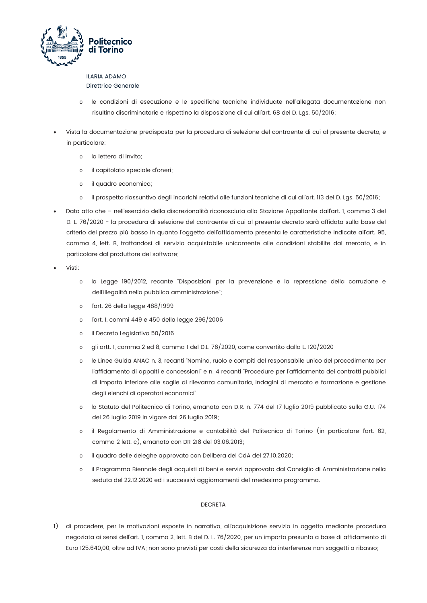

## **ILARIA ADAMO**

Direttrice Generale

- o le condizioni di esecuzione e le specifiche tecniche individuate nell'allegata documentazione non risultino discriminatorie e rispettino la disposizione di cui all'art. 68 del D. Lgs. 50/2016;
- Vista la documentazione predisposta per la procedura di selezione del contraente di cui al presente decreto, e in particolare:
	- la lettera di invito;  $\circ$
	- il capitolato speciale d'oneri;  $\Omega$
	- il quadro economico;  $\circ$
	- il prospetto riassuntivo degli incarichi relativi alle funzioni tecniche di cui all'art. 113 del D. Lgs. 50/2016;  $\circ$
- Dato atto che nell'esercizio della discrezionalità riconosciuta alla Stazione Appaltante dall'art. I, comma 3 del D. L. 76/2020 - la procedura di selezione del contraente di cui al presente decreto sarà affidata sulla base del criterio del prezzo più basso in quanto l'oggetto dell'affidamento presenta le caratteristiche indicate all'art. 95, comma 4, lett. B, trattandosi di servizio acquistabile unicamente alle condizioni stabilite dal mercato, e in particolare dal produttore del software;
- Visti:
	- la Legge 190/2012, recante "Disposizioni per la prevenzione e la repressione della corruzione e  $\sim$ dell'illegalità nella pubblica amministrazione";
	- l'art. 26 della legge 488/1999  $\cap$
	- l'art. 1, commi 449 e 450 della legge 296/2006  $\sim$
	- il Decreto Legislativo 50/2016  $\circ$
	- gli artt. 1, comma 2 ed 8, comma 1 del D.L. 76/2020, come convertito dalla L. 120/2020  $\circ$
	- le Linee Guida ANAC n. 3, recanti "Nomina, ruolo e compiti del responsabile unico del procedimento per  $\circ$ l'affidamento di appalti e concessioni" e n. 4 recanti "Procedure per l'affidamento dei contratti pubblici di importo inferiore alle soglie di rilevanza comunitaria, indagini di mercato e formazione e gestione degli elenchi di operatori economici"
	- o lo Statuto del Politecnico di Torino, emanato con D.R. n. 774 del 17 luglio 2019 pubblicato sulla G.U. 174 del 26 luglio 2019 in vigore dal 26 luglio 2019;
	- il Regolamento di Amministrazione e contabilità del Politecnico di Torino (in particolare l'art. 62,  $\cap$ comma 2 lett. c), emanato con DR 218 del 03.06.2013;
	- il quadro delle deleghe approvato con Delibera del CdA del 27.10.2020;  $\circ$
	- il Programma Biennale degli acquisti di beni e servizi approvato dal Consiglio di Amministrazione nella  $\circ$ seduta del 22.12.2020 ed i successivi aggiornamenti del medesimo programma.

### **DECRETA**

1) di procedere, per le motivazioni esposte in narrativa, all'acquisizione servizio in oggetto mediante procedura negoziata ai sensi dell'art. 1, comma 2, lett. B del D. L. 76/2020, per un importo presunto a base di affidamento di Euro 125.640,00, oltre ad IVA; non sono previsti per costi della sicurezza da interferenze non soggetti a ribasso;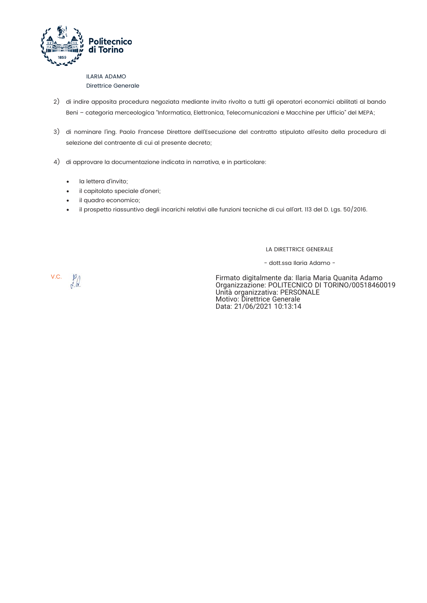

### **ILARIA ADAMO** Direttrice Generale

- 2) di indire apposita procedura negoziata mediante invito rivolto a tutti gli operatori economici abilitati al bando Beni - categoria merceologica "Informatica, Elettronica, Telecomunicazioni e Macchine per Ufficio" del MEPA;
- 3) di nominare l'ing. Paolo Francese Direttore dell'Esecuzione del contratto stipulato all'esito della procedura di selezione del contraente di cui al presente decreto;
- 4) di approvare la documentazione indicata in narrativa, e in particolare:
	- la lettera d'invito:  $\bullet$
	- il capitolato speciale d'oneri;
	- il quadro economico;
	- il prospetto riassuntivo degli incarichi relativi alle funzioni tecniche di cui all'art. 113 del D. Lgs. 50/2016.  $\bullet$

LA DIRETTRICE GENERALE

- dott.ssa Ilaria Adamo -

V.C.  $\frac{p}{\sqrt{q}}$ 

Firmato digitalmente da: Ilaria Maria Quanita Adamo<br>Organizzazione: POLITECNICO DI TORINO/00518460019<br>Unità organizzativa: PERSONALE Motivo: Direttrice Generale Data: 21/06/2021 10:13:14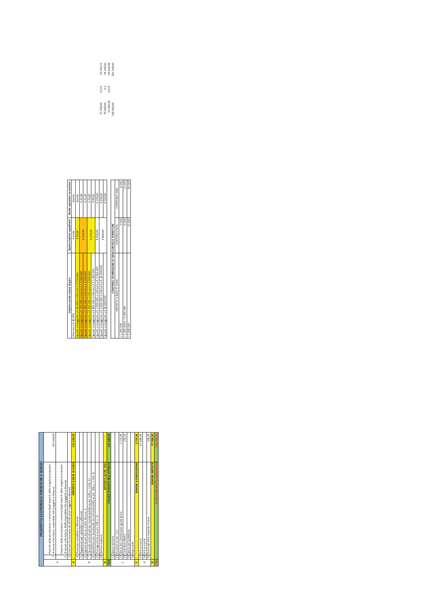| 10 Rinnovi espressi<br>11 Spese tecniche<br>17 IVA su voci A<br>18 IVA su voci B<br>16 Imprevisti<br>14<br>$\overline{3}$<br>ु<br>$\overline{9}$<br>$\overline{\infty}$<br>6<br>$\mathbf{r}$<br>$\sim$<br>in,<br>VSA<br>₫<br>$\sum_{i=1}^{n}$<br>⋖<br>$\cup$<br>Ō<br>$\circ$<br>$\mathbf{r}$<br>œ | PROSPETT O ECONOMICO FORNITURE E SERVIZI                                                                                                 |            |
|---------------------------------------------------------------------------------------------------------------------------------------------------------------------------------------------------------------------------------------------------------------------------------------------------|------------------------------------------------------------------------------------------------------------------------------------------|------------|
|                                                                                                                                                                                                                                                                                                   | Importo della prestazione o somma degli importi delle singole prestazioni<br>di servizi e forniture, imponibile IVA (soggetti a ribasso) | 125.640,00 |
|                                                                                                                                                                                                                                                                                                   | Importo della prestazione o somma degli importi delle singole prestazioni                                                                |            |
|                                                                                                                                                                                                                                                                                                   | di servizi e forniture, NON imponibile IVA (soggetti a ribasso)<br>Costi per la sicurezza da DUVRI (non soggetti a ribasso)              |            |
|                                                                                                                                                                                                                                                                                                   | IMPORTO A BASE DI GARA                                                                                                                   | 125.640,00 |
|                                                                                                                                                                                                                                                                                                   | Premi per candidati o offerenti                                                                                                          |            |
|                                                                                                                                                                                                                                                                                                   | Pagamenti per candidati o offerenti                                                                                                      |            |
|                                                                                                                                                                                                                                                                                                   | Opzioni ex art. 63 co. 3 lett. B) e co. 5                                                                                                |            |
|                                                                                                                                                                                                                                                                                                   | Clausole contrattuali (se monetizzabili) ex art. 106, c. 1 lett. A                                                                       |            |
|                                                                                                                                                                                                                                                                                                   | Modifiche non sostanziale (se monetizzabili) ex art. 106, c. 1 lett. E)                                                                  |            |
|                                                                                                                                                                                                                                                                                                   | Proroga tecnica ex art. 106 c. 11                                                                                                        |            |
|                                                                                                                                                                                                                                                                                                   |                                                                                                                                          |            |
|                                                                                                                                                                                                                                                                                                   | <b>MPORTO ALTRE VOCI</b>                                                                                                                 |            |
|                                                                                                                                                                                                                                                                                                   | VALORE STIMATO DELL'APPALTO                                                                                                              | 125.640,00 |
|                                                                                                                                                                                                                                                                                                   |                                                                                                                                          |            |
|                                                                                                                                                                                                                                                                                                   | 12   ncentivi ex art. 113                                                                                                                |            |
|                                                                                                                                                                                                                                                                                                   | 13 Spese per commissioni giudicatrice                                                                                                    | 2.512,80   |
|                                                                                                                                                                                                                                                                                                   | Contributi ANAC                                                                                                                          | 225,00     |
|                                                                                                                                                                                                                                                                                                   | 15 Spese per pubblicità                                                                                                                  |            |
|                                                                                                                                                                                                                                                                                                   |                                                                                                                                          |            |
|                                                                                                                                                                                                                                                                                                   | SOMME A DISPOSIZIONE                                                                                                                     | 2.737.80   |
|                                                                                                                                                                                                                                                                                                   |                                                                                                                                          | 27.640,80  |
|                                                                                                                                                                                                                                                                                                   |                                                                                                                                          |            |
|                                                                                                                                                                                                                                                                                                   | 19 Eventuali altre imposte e tasse                                                                                                       | 320,00     |
|                                                                                                                                                                                                                                                                                                   | SOMMA IMPOSTE                                                                                                                            | 27.960,80  |
| ۴Ë                                                                                                                                                                                                                                                                                                | TOTALE PROSPETTO ECONOMICO                                                                                                               | 156.338.60 |

|                      | compared to the control of the product of the second to the second the second second second second second second |            |                                                           |              |                                                      |
|----------------------|------------------------------------------------------------------------------------------------------------------|------------|-----------------------------------------------------------|--------------|------------------------------------------------------|
|                      | 3 Costi per la sicurezza da DUVRI (non soggetti a ribasso)                                                       |            | Importo posto a base di gara                              |              | Quota stazioni appaltanti   Quota operatori economid |
| ₫                    | IMPORTO A BASE DI GARA                                                                                           | 125.640,00 | eriore a € 40.000                                         | Esente       | Esente                                               |
|                      | Premi per candidati o offerenti<br>ų                                                                             |            | uale o maggiore a € 40.000 e inferiore a € 150.000        | €30,00       | Esente                                               |
|                      | Pagamenti per candidati o offerenti<br>in)                                                                       |            | uale o maggiore a € 150.000 e inferiore a € 300.000       | £ 225,00     | € 20,00                                              |
|                      | 6 Opzioni ex art. 63 co. 3 lett. B) e co. 5                                                                      |            | vale o maggiore a € 300.000 e inferiore a € 500.000       |              | €35,00                                               |
| œ                    | Clausole contrattuali (se monetizzabili) ex art. 106. c. 1 lett. A)<br>r                                         |            | uale o maggiore a € 500.000 e inferiore a € 800.000       | €375.OC      | €70,00                                               |
|                      | Modifiche non sostanziale (se monetizzabili) ex art. 106, c. 1 lett. E)<br>œ                                     |            | guale o maggiore a € 800.000 e inferiore a € 1.000.000    |              | €80,00                                               |
|                      | Proroga tecnica ex art. 106 c. 11<br>$\sigma$                                                                    |            | guale o maggiore a € 1.000.000 e inferiore a € 5.000.000  | € 600,00     | €140,00                                              |
|                      | 10 Rinnovi espressi                                                                                              |            | guale o maggiore a € 5.000.000 e inferiore a € 20.000.000 | 0.800(0.00)  | € 200,00                                             |
| œ                    | <b>IMPORTO ALTRE VOC</b>                                                                                         |            | Iguale o maggiore a € 20.000.000                          |              | €500,00                                              |
|                      | VALORE STIMATO DELL'APPALTO                                                                                      | 125.640.0  |                                                           |              |                                                      |
|                      | 11 Spese tecniche                                                                                                |            | COMPENSI COMMISSARI DI GARA SERVIZI E FORNITURE           |              |                                                      |
|                      | Incentivi ex art. 113<br>i                                                                                       |            | IMPORTO A BASE DI GARA                                    | COMPENSO MIN | COMPENSO MAX                                         |
| $\ddot{\phantom{0}}$ | 13 Spese per commissioni giudicatrice                                                                            | 2.512,80   | 1.000.000                                                 | 3,000        | 8.000                                                |
|                      | 14 Contributi ANAC                                                                                               | 225,00     | 1.000.000 e < 5.000.000                                   | 6.000        | 15.000                                               |
|                      | 15 Spese per pubblicità                                                                                          |            | 5.000.000                                                 | 12.000       | 30.000                                               |
|                      | <b>AC Home consists</b>                                                                                          |            |                                                           |              |                                                      |